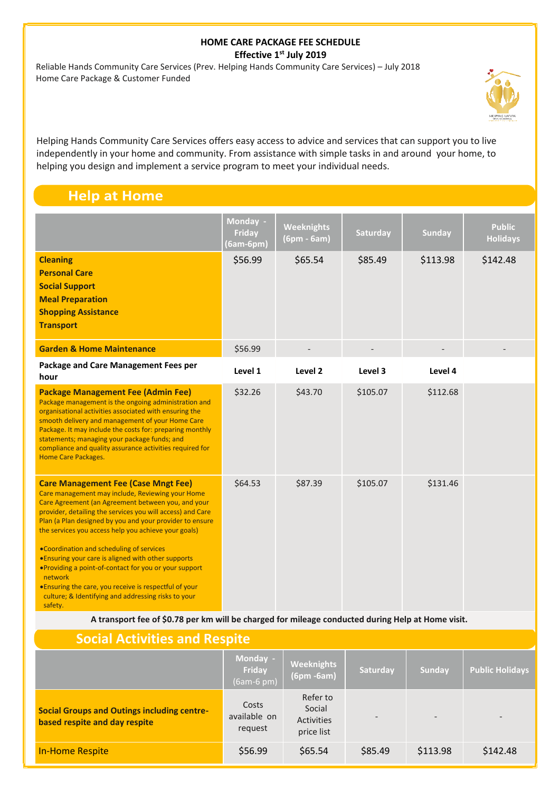## **HOME CARE PACKAGE FEE SCHEDULE Effective 1st July 2019**

 Reliable Hands Community Care Services (Prev. Helping Hands Community Care Services) – July 2018 Home Care Package & Customer Funded



Helping Hands Community Care Services offers easy access to advice and services that can support you to live independently in your home and community. From assistance with simple tasks in and around your home, to helping you design and implement a service program to meet your individual needs.

## **Help at Home**

|                                                                                                                                                                                                                                                                                                                                                                                                                                                                                                                                                                                                                                             | Monday -<br>Friday<br>$(6am-6pm)$ | <b>Weeknights</b><br>$(6pm - 6am)$ | Saturday | <b>Sunday</b> | <b>Public</b><br><b>Holidays</b> |
|---------------------------------------------------------------------------------------------------------------------------------------------------------------------------------------------------------------------------------------------------------------------------------------------------------------------------------------------------------------------------------------------------------------------------------------------------------------------------------------------------------------------------------------------------------------------------------------------------------------------------------------------|-----------------------------------|------------------------------------|----------|---------------|----------------------------------|
| <b>Cleaning</b><br><b>Personal Care</b><br><b>Social Support</b><br><b>Meal Preparation</b><br><b>Shopping Assistance</b><br><b>Transport</b>                                                                                                                                                                                                                                                                                                                                                                                                                                                                                               | \$56.99                           | \$65.54                            | \$85.49  | \$113.98      | \$142.48                         |
| <b>Garden &amp; Home Maintenance</b>                                                                                                                                                                                                                                                                                                                                                                                                                                                                                                                                                                                                        | \$56.99                           |                                    |          |               |                                  |
| Package and Care Management Fees per<br>hour                                                                                                                                                                                                                                                                                                                                                                                                                                                                                                                                                                                                | Level 1                           | Level <sub>2</sub>                 | Level 3  | Level 4       |                                  |
| <b>Package Management Fee (Admin Fee)</b><br>Package management is the ongoing administration and<br>organisational activities associated with ensuring the<br>smooth delivery and management of your Home Care<br>Package. It may include the costs for: preparing monthly<br>statements; managing your package funds; and<br>compliance and quality assurance activities required for<br>Home Care Packages.                                                                                                                                                                                                                              | \$32.26                           | \$43.70                            | \$105.07 | \$112.68      |                                  |
| <b>Care Management Fee (Case Mngt Fee)</b><br>Care management may include, Reviewing your Home<br>Care Agreement (an Agreement between you, and your<br>provider, detailing the services you will access) and Care<br>Plan (a Plan designed by you and your provider to ensure<br>the services you access help you achieve your goals)<br>. Coordination and scheduling of services<br>. Ensuring your care is aligned with other supports<br>. Providing a point-of-contact for you or your support<br>network<br>. Ensuring the care, you receive is respectful of your<br>culture; & Identifying and addressing risks to your<br>safety. | \$64.53                           | \$87.39                            | \$105.07 | \$131.46      |                                  |
|                                                                                                                                                                                                                                                                                                                                                                                                                                                                                                                                                                                                                                             |                                   |                                    |          |               |                                  |

**A transport fee of \$0.78 per km will be charged for mileage conducted during Help at Home visit.** 

| <b>Social Activities and Respite</b>                                                |                                  |                                                |          |               |                        |  |  |
|-------------------------------------------------------------------------------------|----------------------------------|------------------------------------------------|----------|---------------|------------------------|--|--|
|                                                                                     | Monday -<br>Friday<br>(6am-6 pm) | <b>Weeknights</b><br>$(6pm - 6am)$             | Saturday | <b>Sunday</b> | <b>Public Holidays</b> |  |  |
| <b>Social Groups and Outings including centre-</b><br>based respite and day respite | Costs<br>available on<br>request | Refer to<br>Social<br>Activities<br>price list |          |               |                        |  |  |
| <b>In-Home Respite</b>                                                              | \$56.99                          | \$65.54                                        | \$85.49  | \$113.98      | \$142.48               |  |  |